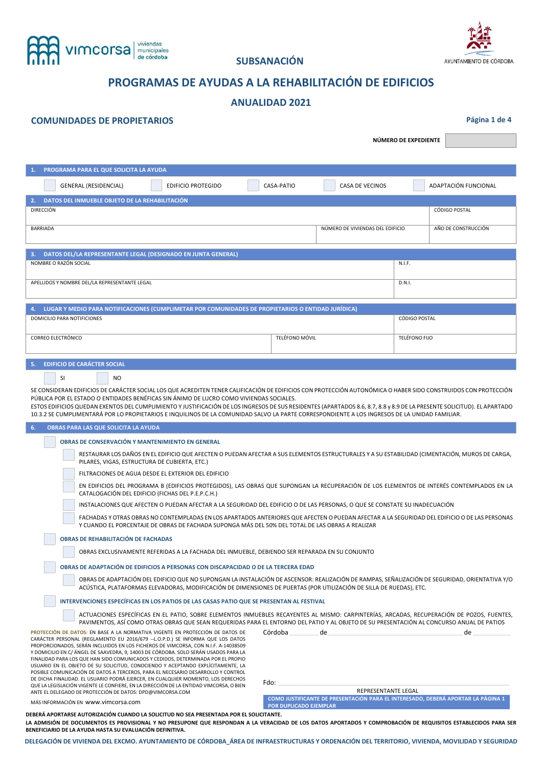

# **SUBSANACIÓN**



# **PROGRAMAS DE AYUDAS A LA REHABILITACIÓN DE EDIFICIOS**

# **ANUALIDAD 2021**

# **COMUNIDADES DE PROPIETARIOS Página 1 de 4**

**NÚMERO DE EXPEDIENTE** 

| PROGRAMA PARA EL QUE SOLICITA LA AYUDA<br>1.                                                             |                                                              |
|----------------------------------------------------------------------------------------------------------|--------------------------------------------------------------|
| <b>GENERAL (RESIDENCIAL)</b><br><b>EDIFICIO PROTEGIDO</b>                                                | ADAPTACIÓN FUNCIONAL<br><b>CASA DE VECINOS</b><br>CASA-PATIO |
| DATOS DEL INMUEBLE OBJETO DE LA REHABILITACIÓN<br>2.1                                                    |                                                              |
| <b>DIRECCIÓN</b>                                                                                         | <b>CÓDIGO POSTAL</b>                                         |
| <b>BARRIADA</b>                                                                                          | AÑO DE CONSTRUCCIÓN<br>NÚMERO DE VIVIENDAS DEL EDIFICIO      |
| DATOS DEL/LA REPRESENTANTE LEGAL (DESIGNADO EN JUNTA GENERAL)<br>3.                                      |                                                              |
| NOMBRE O RAZÓN SOCIAL                                                                                    | N.I.F.                                                       |
| APELLIDOS Y NOMBRE DEL/LA REPRESENTANTE LEGAL                                                            | D.N.I.                                                       |
| LUGAR Y MEDIO PARA NOTIFICACIONES (CUMPLIMETAR POR COMUNIDADES DE PROPIETARIOS O ENTIDAD JURÍDICA)<br>4. |                                                              |
| DOMICILIO PARA NOTIFICIONES                                                                              | CÓDIGO POSTAL                                                |
|                                                                                                          |                                                              |
| CORREO ELECTRÓNICO                                                                                       | TELÉFONO MÓVIL<br>TELÉFONO FIJO                              |
| <b>EDIFICIO DE CARÁCTER SOCIAL</b><br>5.                                                                 |                                                              |

| <b>SI</b> |  |  |  |  | N <sub>O</sub> |  |
|-----------|--|--|--|--|----------------|--|
|           |  |  |  |  |                |  |

SE CONSIDERAN EDIFICIOS DE CARÁCTER SOCIAL LOS QUE ACREDITEN TENER CALIFICACIÓN DE EDIFICIOS CON PROTECCIÓN AUTONÓMICA O HABER SIDO CONSTRUIDOS CON PROTECCIÓN PÚBLICA POR EL ESTADO O ENTIDADES BENÉFICAS SIN ÁNIMO DE LUCRO COMO VIVIENDAS SOCIALES.

ESTOS EDIFICIOS QUEDAN EXENTOS DEL CUMPLIMIENTO Y JUSTIFICACIÓN DE LOS INGRESOS DE SUS RESIDENTES (APARTADOS 8.6, 8.7, 8.8 y 8.9 DE LA PRESENTE SOLICITUD). EL APARTADO 10.3.2 SE CUMPLIMENTARÁ POR LO PROPIETARIOS E INQUILINOS DE LA COMUNIDAD SALVO LA PARTE CORRESPONDIENTE A LOS INGRESOS DE LA UNIDAD FAMILIAR.

| 6. | <b>OBRAS PARA LAS QUE SOLICITA LA AYUDA</b>                                                                                                                                                                                                                                                                                                                                                                                                                                                                                                                                                                                                                                                                                                                                          |                               |                     |                                                                                  |
|----|--------------------------------------------------------------------------------------------------------------------------------------------------------------------------------------------------------------------------------------------------------------------------------------------------------------------------------------------------------------------------------------------------------------------------------------------------------------------------------------------------------------------------------------------------------------------------------------------------------------------------------------------------------------------------------------------------------------------------------------------------------------------------------------|-------------------------------|---------------------|----------------------------------------------------------------------------------|
|    | OBRAS DE CONSERVACIÓN Y MANTENIMIENTO EN GENERAL                                                                                                                                                                                                                                                                                                                                                                                                                                                                                                                                                                                                                                                                                                                                     |                               |                     |                                                                                  |
|    | RESTAURAR LOS DAÑOS EN EL EDIFICIO QUE AFECTEN O PUEDAN AFECTAR A SUS ELEMENTOS ESTRUCTURALES Y A SU ESTABILIDAD (CIMENTACIÓN, MUROS DE CARGA,<br>PILARES, VIGAS, ESTRUCTURA DE CUBIERTA, ETC.)                                                                                                                                                                                                                                                                                                                                                                                                                                                                                                                                                                                      |                               |                     |                                                                                  |
|    | FILTRACIONES DE AGUA DESDE EL EXTERIOR DEL EDIFICIO                                                                                                                                                                                                                                                                                                                                                                                                                                                                                                                                                                                                                                                                                                                                  |                               |                     |                                                                                  |
|    | EN EDIFICIOS DEL PROGRAMA B (EDIFICIOS PROTEGIDOS), LAS OBRAS QUE SUPONGAN LA RECUPERACIÓN DE LOS ELEMENTOS DE INTERÉS CONTEMPLADOS EN LA<br>CATALOGACIÓN DEL EDIFICIO (FICHAS DEL P.E.P.C.H.)                                                                                                                                                                                                                                                                                                                                                                                                                                                                                                                                                                                       |                               |                     |                                                                                  |
|    | INSTALACIONES QUE AFECTEN O PUEDAN AFECTAR A LA SEGURIDAD DEL EDIFICIO O DE LAS PERSONAS, O QUE SE CONSTATE SU INADECUACIÓN                                                                                                                                                                                                                                                                                                                                                                                                                                                                                                                                                                                                                                                          |                               |                     |                                                                                  |
|    | FACHADAS Y OTRAS OBRAS NO CONTEMPLADAS EN LOS APARTADOS ANTERIORES QUE AFECTEN O PUEDAN AFECTAR A LA SEGURIDAD DEL EDIFICIO O DE LAS PERSONAS<br>Y CUANDO EL PORCENTAJE DE OBRAS DE FACHADA SUPONGA MÁS DEL 50% DEL TOTAL DE LAS OBRAS A REALIZAR                                                                                                                                                                                                                                                                                                                                                                                                                                                                                                                                    |                               |                     |                                                                                  |
|    | OBRAS DE REHABILITACIÓN DE FACHADAS                                                                                                                                                                                                                                                                                                                                                                                                                                                                                                                                                                                                                                                                                                                                                  |                               |                     |                                                                                  |
|    | OBRAS EXCLUSIVAMENTE REFERIDAS A LA FACHADA DEL INMUEBLE, DEBIENDO SER REPARADA EN SU CONJUNTO                                                                                                                                                                                                                                                                                                                                                                                                                                                                                                                                                                                                                                                                                       |                               |                     |                                                                                  |
|    | OBRAS DE ADAPTACIÓN DE EDIFICIOS A PERSONAS CON DISCAPACIDAD O DE LA TERCERA EDAD                                                                                                                                                                                                                                                                                                                                                                                                                                                                                                                                                                                                                                                                                                    |                               |                     |                                                                                  |
|    | OBRAS DE ADAPTACIÓN DEL EDIFICIO QUE NO SUPONGAN LA INSTALACIÓN DE ASCENSOR: REALIZACIÓN DE RAMPAS, SEÑALIZACIÓN DE SEGURIDAD, ORIENTATIVA Y/O<br>ACÚSTICA. PLATAFORMAS ELEVADORAS, MODIFICACIÓN DE DIMENSIONES DE PUERTAS (POR UTILIZACIÓN DE SILLA DE RUEDAS), ETC.                                                                                                                                                                                                                                                                                                                                                                                                                                                                                                                |                               |                     |                                                                                  |
|    | INTERVENCIONES ESPECÍFICAS EN LOS PATIOS DE LAS CASAS PATIO QUE SE PRESENTAN AL FESTIVAL                                                                                                                                                                                                                                                                                                                                                                                                                                                                                                                                                                                                                                                                                             |                               |                     |                                                                                  |
|    | ACTUACIONES ESPECÍFICAS EN EL PATIO, SOBRE ELEMENTOS INMUEBLES RECAYENTES AL MISMO: CARPINTERÍAS, ARCADAS, RECUPERACIÓN DE POZOS, FUENTES,<br>PAVIMENTOS. ASÍ COMO OTRAS OBRAS QUE SEAN REQUERIDAS PARA EL ENTORNO DEL PATIO Y AL OBJETO DE SU PRESENTACIÓN AL CONCURSO ANUAL DE PATIOS                                                                                                                                                                                                                                                                                                                                                                                                                                                                                              |                               |                     |                                                                                  |
|    | PROTECCIÓN DE DATOS: EN BASE A LA NORMATIVA VIGENTE EN PROTECCIÓN DE DATOS DE<br>CARÁCTER PERSONAL (REGLAMENTO EU 2016/679 --L.O.P.D.) SE INFORMA QUE LOS DATOS<br>PROPORCIONADOS, SERÁN INCLUIDOS EN LOS FICHEROS DE VIMCORSA, CON N.I.F. A-14038509<br>Y DOMICILIO EN C/ÁNGEL DE SAAVEDRA, 9, 14003 DE CÓRDOBA. SOLO SERÁN USADOS PARA LA<br>FINALIDAD PARA LOS QUE HAN SIDO COMUNICADOS Y CEDIDOS, DETERMINADA POR EL PROPIO<br>USUARIO EN EL OBJETO DE SU SOLICITUD, CONOCIENDO Y ACEPTANDO EXPLÍCITAMENTE, LA<br>POSIBLE COMUNICACIÓN DE DATOS A TERCEROS, PARA EL NECESARIO DESARROLLO Y CONTROL<br>DE DICHA FINALIDAD. EL USUARIO PODRÁ EJERCER, EN CUALQUIER MOMENTO, LOS DERECHOS<br>QUE LA LEGISLACIÓN VIGENTE LE CONFIERE, EN LA DIRECCIÓN DE LA ENTIDAD VIMCORSA, O BIEN | Córdoba<br>Fdo:               | de                  | de                                                                               |
|    | ANTE EL DELEGADO DE PROTECCIÓN DE DATOS: DPD@VIMCORSA.COM<br>MÁS INFORMACIÓN EN WWW.VIMCOTSA.COM                                                                                                                                                                                                                                                                                                                                                                                                                                                                                                                                                                                                                                                                                     |                               | REPRESENTANTE LEGAL | COMO JUSTIFICANTE DE PRESENTACIÓN PARA EL INTERESADO. DEBERÁ APORTAR LA PÁGINA 1 |
|    |                                                                                                                                                                                                                                                                                                                                                                                                                                                                                                                                                                                                                                                                                                                                                                                      | <b>POR DUPLICADO EJEMPLAR</b> |                     |                                                                                  |

**DEBERÁ APORTARSE AUTORIZACIÓN CUANDO LA SOLICITUD NO SEA PRESENTADA POR EL SOLICITANTE. LA ADMISIÓN DE DOCUMENTOS ES PROVISIONAL Y NO PRESUPONE QUE RESPONDAN A LA VERACIDAD DE LOS DATOS APORTADOS Y COMPROBACIÓN DE REQUISITOS ESTABLECIDOS PARA SER BENEFICIARIO DE LA AYUDA HASTA SU EVALUACIÓN DEFINITIVA.** 

**DELEGACIÓN DE VIVIENDA DEL EXCMO. AYUNTAMIENTO DE CÓRDOBA\_ÁREA DE INFRAESTRUCTURAS Y ORDENACIÓN DEL TERRITORIO, VIVIENDA, MOVILIDAD Y SEGURIDAD**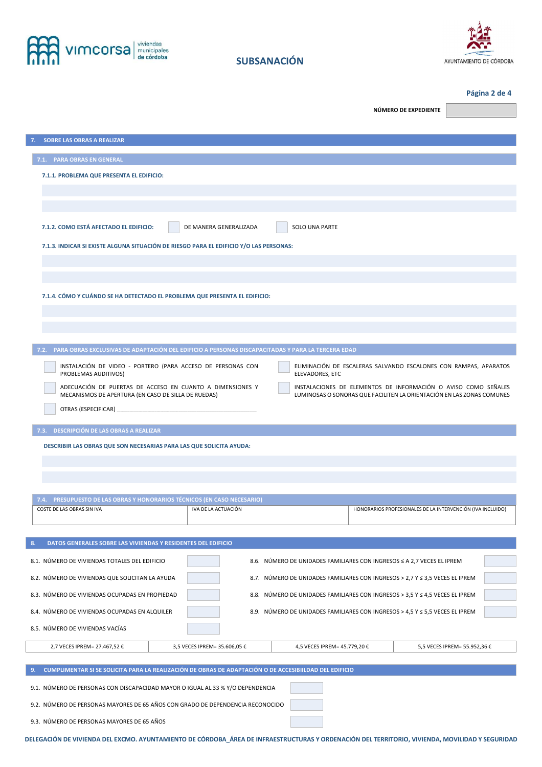



**Página 2 de 4**

| <b>SOBRE LAS OBRAS A REALIZAR</b><br>7.1. PARA OBRAS EN GENERAL<br>7.1.1. PROBLEMA QUE PRESENTA EL EDIFICIO:<br>7.1.2. COMO ESTÁ AFECTADO EL EDIFICIO:<br>DE MANERA GENERALIZADA<br>SOLO UNA PARTE<br>7.1.3. INDICAR SI EXISTE ALGUNA SITUACIÓN DE RIESGO PARA EL EDIFICIO Y/O LAS PERSONAS:<br>7.1.4. CÓMO Y CUÁNDO SE HA DETECTADO EL PROBLEMA QUE PRESENTA EL EDIFICIO:<br>7.2. PARA OBRAS EXCLUSIVAS DE ADAPTACIÓN DEL EDIFICIO A PERSONAS DISCAPACITADAS Y PARA LA TERCERA EDAD<br>INSTALACIÓN DE VIDEO - PORTERO (PARA ACCESO DE PERSONAS CON<br>ELIMINACIÓN DE ESCALERAS SALVANDO ESCALONES CON RAMPAS, APARATOS<br>PROBLEMAS AUDITIVOS)<br>ELEVADORES, ETC<br>ADECUACIÓN DE PUERTAS DE ACCESO EN CUANTO A DIMENSIONES Y<br>INSTALACIONES DE ELEMENTOS DE INFORMACIÓN O AVISO COMO SEÑALES<br>MECANISMOS DE APERTURA (EN CASO DE SILLA DE RUEDAS)<br>LUMINOSAS O SONORAS QUE FACILITEN LA ORIENTACIÓN EN LAS ZONAS COMUNES<br>7.3. DESCRIPCIÓN DE LAS OBRAS A REALIZAR<br>DESCRIBIR LAS OBRAS QUE SON NECESARIAS PARA LAS QUE SOLICITA AYUDA:<br>7.4. PRESUPUESTO DE LAS OBRAS Y HONORARIOS TÉCNICOS (EN CASO NECESARIO)<br>COSTE DE LAS OBRAS SIN IVA<br>IVA DE LA ACTUACIÓN<br>HONORARIOS PROFESIONALES DE LA INTERVENCIÓN (IVA INCLUIDO)<br>DATOS GENERALES SOBRE LAS VIVIENDAS Y RESIDENTES DEL EDIFICIO<br>8.<br>8.1. NÚMERO DE VIVIENDAS TOTALES DEL EDIFICIO<br>8.6. NÚMERO DE UNIDADES FAMILIARES CON INGRESOS ≤ A 2,7 VECES EL IPREM<br>8.2. NÚMERO DE VIVIENDAS QUE SOLICITAN LA AYUDA<br>8.7. NÚMERO DE UNIDADES FAMILIARES CON INGRESOS > 2,7 Y ≤ 3,5 VECES EL IPREM<br>8.3. NÚMERO DE VIVIENDAS OCUPADAS EN PROPIEDAD<br>8.8. NÚMERO DE UNIDADES FAMILIARES CON INGRESOS > 3,5 Y ≤ 4,5 VECES EL IPREM<br>8.4. NÚMERO DE VIVIENDAS OCUPADAS EN ALQUILER<br>8.9. NÚMERO DE UNIDADES FAMILIARES CON INGRESOS > 4,5 Y ≤ 5,5 VECES EL IPREM<br>8.5. NÚMERO DE VIVIENDAS VACÍAS<br>4,5 VECES IPREM= 45.779,20 €<br>2,7 VECES IPREM= 27.467,52 €<br>3,5 VECES IPREM= 35.606,05 €<br>5,5 VECES IPREM= 55.952,36 €<br>CUMPLIMENTAR SI SE SOLICITA PARA LA REALIZACIÓN DE OBRAS DE ADAPTACIÓN O DE ACCESIBIILDAD DEL EDIFICIO<br>9.<br>9.1. NÚMERO DE PERSONAS CON DISCAPACIDAD MAYOR O IGUAL AL 33 % Y/O DEPENDENCIA |  | NÚMERO DE EXPEDIENTE |
|---------------------------------------------------------------------------------------------------------------------------------------------------------------------------------------------------------------------------------------------------------------------------------------------------------------------------------------------------------------------------------------------------------------------------------------------------------------------------------------------------------------------------------------------------------------------------------------------------------------------------------------------------------------------------------------------------------------------------------------------------------------------------------------------------------------------------------------------------------------------------------------------------------------------------------------------------------------------------------------------------------------------------------------------------------------------------------------------------------------------------------------------------------------------------------------------------------------------------------------------------------------------------------------------------------------------------------------------------------------------------------------------------------------------------------------------------------------------------------------------------------------------------------------------------------------------------------------------------------------------------------------------------------------------------------------------------------------------------------------------------------------------------------------------------------------------------------------------------------------------------------------------------------------------------------------------------------------------------------------------------------------------------------------------------------------------------------------------------------------------------------------------------------------------------------------------------------------------------------|--|----------------------|
|                                                                                                                                                                                                                                                                                                                                                                                                                                                                                                                                                                                                                                                                                                                                                                                                                                                                                                                                                                                                                                                                                                                                                                                                                                                                                                                                                                                                                                                                                                                                                                                                                                                                                                                                                                                                                                                                                                                                                                                                                                                                                                                                                                                                                                 |  |                      |
|                                                                                                                                                                                                                                                                                                                                                                                                                                                                                                                                                                                                                                                                                                                                                                                                                                                                                                                                                                                                                                                                                                                                                                                                                                                                                                                                                                                                                                                                                                                                                                                                                                                                                                                                                                                                                                                                                                                                                                                                                                                                                                                                                                                                                                 |  |                      |
|                                                                                                                                                                                                                                                                                                                                                                                                                                                                                                                                                                                                                                                                                                                                                                                                                                                                                                                                                                                                                                                                                                                                                                                                                                                                                                                                                                                                                                                                                                                                                                                                                                                                                                                                                                                                                                                                                                                                                                                                                                                                                                                                                                                                                                 |  |                      |
|                                                                                                                                                                                                                                                                                                                                                                                                                                                                                                                                                                                                                                                                                                                                                                                                                                                                                                                                                                                                                                                                                                                                                                                                                                                                                                                                                                                                                                                                                                                                                                                                                                                                                                                                                                                                                                                                                                                                                                                                                                                                                                                                                                                                                                 |  |                      |
|                                                                                                                                                                                                                                                                                                                                                                                                                                                                                                                                                                                                                                                                                                                                                                                                                                                                                                                                                                                                                                                                                                                                                                                                                                                                                                                                                                                                                                                                                                                                                                                                                                                                                                                                                                                                                                                                                                                                                                                                                                                                                                                                                                                                                                 |  |                      |
|                                                                                                                                                                                                                                                                                                                                                                                                                                                                                                                                                                                                                                                                                                                                                                                                                                                                                                                                                                                                                                                                                                                                                                                                                                                                                                                                                                                                                                                                                                                                                                                                                                                                                                                                                                                                                                                                                                                                                                                                                                                                                                                                                                                                                                 |  |                      |
|                                                                                                                                                                                                                                                                                                                                                                                                                                                                                                                                                                                                                                                                                                                                                                                                                                                                                                                                                                                                                                                                                                                                                                                                                                                                                                                                                                                                                                                                                                                                                                                                                                                                                                                                                                                                                                                                                                                                                                                                                                                                                                                                                                                                                                 |  |                      |
|                                                                                                                                                                                                                                                                                                                                                                                                                                                                                                                                                                                                                                                                                                                                                                                                                                                                                                                                                                                                                                                                                                                                                                                                                                                                                                                                                                                                                                                                                                                                                                                                                                                                                                                                                                                                                                                                                                                                                                                                                                                                                                                                                                                                                                 |  |                      |
|                                                                                                                                                                                                                                                                                                                                                                                                                                                                                                                                                                                                                                                                                                                                                                                                                                                                                                                                                                                                                                                                                                                                                                                                                                                                                                                                                                                                                                                                                                                                                                                                                                                                                                                                                                                                                                                                                                                                                                                                                                                                                                                                                                                                                                 |  |                      |
|                                                                                                                                                                                                                                                                                                                                                                                                                                                                                                                                                                                                                                                                                                                                                                                                                                                                                                                                                                                                                                                                                                                                                                                                                                                                                                                                                                                                                                                                                                                                                                                                                                                                                                                                                                                                                                                                                                                                                                                                                                                                                                                                                                                                                                 |  |                      |
|                                                                                                                                                                                                                                                                                                                                                                                                                                                                                                                                                                                                                                                                                                                                                                                                                                                                                                                                                                                                                                                                                                                                                                                                                                                                                                                                                                                                                                                                                                                                                                                                                                                                                                                                                                                                                                                                                                                                                                                                                                                                                                                                                                                                                                 |  |                      |
|                                                                                                                                                                                                                                                                                                                                                                                                                                                                                                                                                                                                                                                                                                                                                                                                                                                                                                                                                                                                                                                                                                                                                                                                                                                                                                                                                                                                                                                                                                                                                                                                                                                                                                                                                                                                                                                                                                                                                                                                                                                                                                                                                                                                                                 |  |                      |
|                                                                                                                                                                                                                                                                                                                                                                                                                                                                                                                                                                                                                                                                                                                                                                                                                                                                                                                                                                                                                                                                                                                                                                                                                                                                                                                                                                                                                                                                                                                                                                                                                                                                                                                                                                                                                                                                                                                                                                                                                                                                                                                                                                                                                                 |  |                      |
|                                                                                                                                                                                                                                                                                                                                                                                                                                                                                                                                                                                                                                                                                                                                                                                                                                                                                                                                                                                                                                                                                                                                                                                                                                                                                                                                                                                                                                                                                                                                                                                                                                                                                                                                                                                                                                                                                                                                                                                                                                                                                                                                                                                                                                 |  |                      |
|                                                                                                                                                                                                                                                                                                                                                                                                                                                                                                                                                                                                                                                                                                                                                                                                                                                                                                                                                                                                                                                                                                                                                                                                                                                                                                                                                                                                                                                                                                                                                                                                                                                                                                                                                                                                                                                                                                                                                                                                                                                                                                                                                                                                                                 |  |                      |
|                                                                                                                                                                                                                                                                                                                                                                                                                                                                                                                                                                                                                                                                                                                                                                                                                                                                                                                                                                                                                                                                                                                                                                                                                                                                                                                                                                                                                                                                                                                                                                                                                                                                                                                                                                                                                                                                                                                                                                                                                                                                                                                                                                                                                                 |  |                      |
|                                                                                                                                                                                                                                                                                                                                                                                                                                                                                                                                                                                                                                                                                                                                                                                                                                                                                                                                                                                                                                                                                                                                                                                                                                                                                                                                                                                                                                                                                                                                                                                                                                                                                                                                                                                                                                                                                                                                                                                                                                                                                                                                                                                                                                 |  |                      |
|                                                                                                                                                                                                                                                                                                                                                                                                                                                                                                                                                                                                                                                                                                                                                                                                                                                                                                                                                                                                                                                                                                                                                                                                                                                                                                                                                                                                                                                                                                                                                                                                                                                                                                                                                                                                                                                                                                                                                                                                                                                                                                                                                                                                                                 |  |                      |
|                                                                                                                                                                                                                                                                                                                                                                                                                                                                                                                                                                                                                                                                                                                                                                                                                                                                                                                                                                                                                                                                                                                                                                                                                                                                                                                                                                                                                                                                                                                                                                                                                                                                                                                                                                                                                                                                                                                                                                                                                                                                                                                                                                                                                                 |  |                      |
|                                                                                                                                                                                                                                                                                                                                                                                                                                                                                                                                                                                                                                                                                                                                                                                                                                                                                                                                                                                                                                                                                                                                                                                                                                                                                                                                                                                                                                                                                                                                                                                                                                                                                                                                                                                                                                                                                                                                                                                                                                                                                                                                                                                                                                 |  |                      |
|                                                                                                                                                                                                                                                                                                                                                                                                                                                                                                                                                                                                                                                                                                                                                                                                                                                                                                                                                                                                                                                                                                                                                                                                                                                                                                                                                                                                                                                                                                                                                                                                                                                                                                                                                                                                                                                                                                                                                                                                                                                                                                                                                                                                                                 |  |                      |
|                                                                                                                                                                                                                                                                                                                                                                                                                                                                                                                                                                                                                                                                                                                                                                                                                                                                                                                                                                                                                                                                                                                                                                                                                                                                                                                                                                                                                                                                                                                                                                                                                                                                                                                                                                                                                                                                                                                                                                                                                                                                                                                                                                                                                                 |  |                      |
|                                                                                                                                                                                                                                                                                                                                                                                                                                                                                                                                                                                                                                                                                                                                                                                                                                                                                                                                                                                                                                                                                                                                                                                                                                                                                                                                                                                                                                                                                                                                                                                                                                                                                                                                                                                                                                                                                                                                                                                                                                                                                                                                                                                                                                 |  |                      |
|                                                                                                                                                                                                                                                                                                                                                                                                                                                                                                                                                                                                                                                                                                                                                                                                                                                                                                                                                                                                                                                                                                                                                                                                                                                                                                                                                                                                                                                                                                                                                                                                                                                                                                                                                                                                                                                                                                                                                                                                                                                                                                                                                                                                                                 |  |                      |
|                                                                                                                                                                                                                                                                                                                                                                                                                                                                                                                                                                                                                                                                                                                                                                                                                                                                                                                                                                                                                                                                                                                                                                                                                                                                                                                                                                                                                                                                                                                                                                                                                                                                                                                                                                                                                                                                                                                                                                                                                                                                                                                                                                                                                                 |  |                      |
|                                                                                                                                                                                                                                                                                                                                                                                                                                                                                                                                                                                                                                                                                                                                                                                                                                                                                                                                                                                                                                                                                                                                                                                                                                                                                                                                                                                                                                                                                                                                                                                                                                                                                                                                                                                                                                                                                                                                                                                                                                                                                                                                                                                                                                 |  |                      |
|                                                                                                                                                                                                                                                                                                                                                                                                                                                                                                                                                                                                                                                                                                                                                                                                                                                                                                                                                                                                                                                                                                                                                                                                                                                                                                                                                                                                                                                                                                                                                                                                                                                                                                                                                                                                                                                                                                                                                                                                                                                                                                                                                                                                                                 |  |                      |
|                                                                                                                                                                                                                                                                                                                                                                                                                                                                                                                                                                                                                                                                                                                                                                                                                                                                                                                                                                                                                                                                                                                                                                                                                                                                                                                                                                                                                                                                                                                                                                                                                                                                                                                                                                                                                                                                                                                                                                                                                                                                                                                                                                                                                                 |  |                      |
|                                                                                                                                                                                                                                                                                                                                                                                                                                                                                                                                                                                                                                                                                                                                                                                                                                                                                                                                                                                                                                                                                                                                                                                                                                                                                                                                                                                                                                                                                                                                                                                                                                                                                                                                                                                                                                                                                                                                                                                                                                                                                                                                                                                                                                 |  |                      |
|                                                                                                                                                                                                                                                                                                                                                                                                                                                                                                                                                                                                                                                                                                                                                                                                                                                                                                                                                                                                                                                                                                                                                                                                                                                                                                                                                                                                                                                                                                                                                                                                                                                                                                                                                                                                                                                                                                                                                                                                                                                                                                                                                                                                                                 |  |                      |
|                                                                                                                                                                                                                                                                                                                                                                                                                                                                                                                                                                                                                                                                                                                                                                                                                                                                                                                                                                                                                                                                                                                                                                                                                                                                                                                                                                                                                                                                                                                                                                                                                                                                                                                                                                                                                                                                                                                                                                                                                                                                                                                                                                                                                                 |  |                      |
|                                                                                                                                                                                                                                                                                                                                                                                                                                                                                                                                                                                                                                                                                                                                                                                                                                                                                                                                                                                                                                                                                                                                                                                                                                                                                                                                                                                                                                                                                                                                                                                                                                                                                                                                                                                                                                                                                                                                                                                                                                                                                                                                                                                                                                 |  |                      |
|                                                                                                                                                                                                                                                                                                                                                                                                                                                                                                                                                                                                                                                                                                                                                                                                                                                                                                                                                                                                                                                                                                                                                                                                                                                                                                                                                                                                                                                                                                                                                                                                                                                                                                                                                                                                                                                                                                                                                                                                                                                                                                                                                                                                                                 |  |                      |
|                                                                                                                                                                                                                                                                                                                                                                                                                                                                                                                                                                                                                                                                                                                                                                                                                                                                                                                                                                                                                                                                                                                                                                                                                                                                                                                                                                                                                                                                                                                                                                                                                                                                                                                                                                                                                                                                                                                                                                                                                                                                                                                                                                                                                                 |  |                      |
|                                                                                                                                                                                                                                                                                                                                                                                                                                                                                                                                                                                                                                                                                                                                                                                                                                                                                                                                                                                                                                                                                                                                                                                                                                                                                                                                                                                                                                                                                                                                                                                                                                                                                                                                                                                                                                                                                                                                                                                                                                                                                                                                                                                                                                 |  |                      |
|                                                                                                                                                                                                                                                                                                                                                                                                                                                                                                                                                                                                                                                                                                                                                                                                                                                                                                                                                                                                                                                                                                                                                                                                                                                                                                                                                                                                                                                                                                                                                                                                                                                                                                                                                                                                                                                                                                                                                                                                                                                                                                                                                                                                                                 |  |                      |
|                                                                                                                                                                                                                                                                                                                                                                                                                                                                                                                                                                                                                                                                                                                                                                                                                                                                                                                                                                                                                                                                                                                                                                                                                                                                                                                                                                                                                                                                                                                                                                                                                                                                                                                                                                                                                                                                                                                                                                                                                                                                                                                                                                                                                                 |  |                      |
| 9.2. NÚMERO DE PERSONAS MAYORES DE 65 AÑOS CON GRADO DE DEPENDENCIA RECONOCIDO                                                                                                                                                                                                                                                                                                                                                                                                                                                                                                                                                                                                                                                                                                                                                                                                                                                                                                                                                                                                                                                                                                                                                                                                                                                                                                                                                                                                                                                                                                                                                                                                                                                                                                                                                                                                                                                                                                                                                                                                                                                                                                                                                  |  |                      |
| 9.3. NÚMERO DE PERSONAS MAYORES DE 65 AÑOS                                                                                                                                                                                                                                                                                                                                                                                                                                                                                                                                                                                                                                                                                                                                                                                                                                                                                                                                                                                                                                                                                                                                                                                                                                                                                                                                                                                                                                                                                                                                                                                                                                                                                                                                                                                                                                                                                                                                                                                                                                                                                                                                                                                      |  |                      |

**DELEGACIÓN DE VIVIENDA DEL EXCMO. AYUNTAMIENTO DE CÓRDOBA\_ÁREA DE INFRAESTRUCTURAS Y ORDENACIÓN DEL TERRITORIO, VIVIENDA, MOVILIDAD Y SEGURIDAD**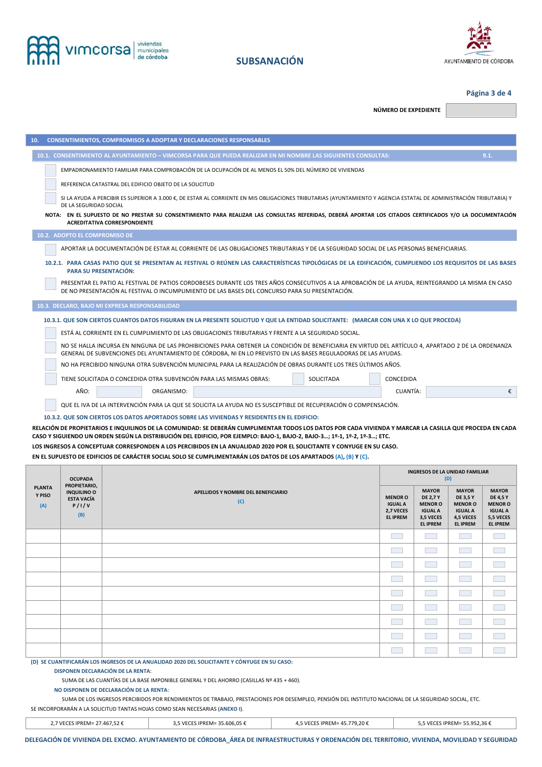



## **Página 3 de 4**

**NÚMERO DE EXPEDIENTE** 

| <b>CONSENTIMIENTOS, COMPROMISOS A ADOPTAR Y DECLARACIONES RESPONSABLES</b><br>10.                                                                                                                                                                                    |
|----------------------------------------------------------------------------------------------------------------------------------------------------------------------------------------------------------------------------------------------------------------------|
| 10.1. CONSENTIMIENTO AL AYUNTAMIENTO - VIMCORSA PARA QUE PUEDA REALIZAR EN MI NOMBRE LAS SIGUIENTES CONSULTAS:<br>9.1.                                                                                                                                               |
| EMPADRONAMIENTO FAMILIAR PARA COMPROBACIÓN DE LA OCUPACIÓN DE AL MENOS EL 50% DEL NÚMERO DE VIVIENDAS                                                                                                                                                                |
| REFERENCIA CATASTRAL DEL EDIFICIO OBJETO DE LA SOLICITUD                                                                                                                                                                                                             |
| SI LA AYUDA A PERCIBIR ES SUPERIOR A 3.000 €, DE ESTAR AL CORRIENTE EN MIS OBLIGACIONES TRIBUTARIAS (AYUNTAMIENTO Y AGENCIA ESTATAL DE ADMINISTRACIÓN TRIBUTARIA) Y<br>DE LA SEGURIDAD SOCIAL                                                                        |
| NOTA: EN EL SUPUESTO DE NO PRESTAR SU CONSENTIMIENTO PARA REALIZAR LAS CONSULTAS REFERIDAS, DEBERÁ APORTAR LOS CITADOS CERTIFICADOS Y/O LA DOCUMENTACIÓN<br><b>ACREDITATIVA CORRESPONDIENTE</b>                                                                      |
| 10.2. ADOPTO EL COMPROMISO DE                                                                                                                                                                                                                                        |
| APORTAR LA DOCUMENTACIÓN DE ESTAR AL CORRIENTE DE LAS OBLIGACIONES TRIBUTARIAS Y DE LA SEGURIDAD SOCIAL DE LAS PERSONAS BENEFICIARIAS.                                                                                                                               |
| 10.2.1. PARA CASAS PATIO QUE SE PRESENTAN AL FESTIVAL O REÚNEN LAS CARACTERÍSTICAS TIPOLÓGICAS DE LA EDIFICACIÓN, CUMPLIENDO LOS REQUISITOS DE LAS BASES<br><b>PARA SU PRESENTACIÓN:</b>                                                                             |
| PRESENTAR EL PATIO AL FESTIVAL DE PATIOS CORDOBESES DURANTE LOS TRES AÑOS CONSECUTIVOS A LA APROBACIÓN DE LA AYUDA, REINTEGRANDO LA MISMA EN CASO<br>DE NO PRESENTACIÓN AL FESTIVAL O INCUMPLIMIENTO DE LAS BASES DEL CONCURSO PARA SU PRESENTACIÓN.                 |
| 10.3. DECLARO, BAJO MI EXPRESA RESPONSABILIDAD                                                                                                                                                                                                                       |
| 10.3.1. QUE SON CIERTOS CUANTOS DATOS FIGURAN EN LA PRESENTE SOLICITUD Y QUE LA ENTIDAD SOLICITANTE: (MARCAR CON UNA X LO QUE PROCEDA)                                                                                                                               |
| ESTÁ AL CORRIENTE EN EL CUMPLIMIENTO DE LAS OBLIGACIONES TRIBUTARIAS Y FRENTE A LA SEGURIDAD SOCIAL.                                                                                                                                                                 |
| NO SE HALLA INCURSA EN NINGUNA DE LAS PROHIBICIONES PARA OBTENER LA CONDICIÓN DE BENEFICIARIA EN VIRTUD DEL ARTÍCULO 4, APARTADO 2 DE LA ORDENANZA<br>GENERAL DE SUBVENCIONES DEL AYUNTAMIENTO DE CÓRDOBA, NI EN LO PREVISTO EN LAS BASES REGULADORAS DE LAS AYUDAS. |
| NO HA PERCIBIDO NINGUNA OTRA SUBVENCIÓN MUNICIPAL PARA LA REALIZACIÓN DE OBRAS DURANTE LOS TRES ÚLTIMOS AÑOS.                                                                                                                                                        |
| TIENE SOLICITADA O CONCEDIDA OTRA SUBVENCIÓN PARA LAS MISMAS OBRAS:<br>SOLICITADA<br>CONCEDIDA                                                                                                                                                                       |
| AÑO:<br>CUANTÍA:<br>€<br>ORGANISMO:                                                                                                                                                                                                                                  |
| QUE EL IVA DE LA INTERVENCIÓN PARA LA QUE SE SOLICITA LA AYUDA NO ES SUSCEPTIBLE DE RECUPERACIÓN O COMPENSACIÓN.                                                                                                                                                     |
| 10.3.2. QUE SON CIERTOS LOS DATOS APORTADOS SOBRE LAS VIVIENDAS Y RESIDENTES EN EL EDIFICIO:                                                                                                                                                                         |

**RELACIÓN DE PROPIETARIOS E INQUILINOS DE LA COMUNIDAD: SE DEBERÁN CUMPLIMENTAR TODOS LOS DATOS POR CADA VIVIENDA Y MARCAR LA CASILLA QUE PROCEDA EN CADA CASO Y SIGUIENDO UN ORDEN SEGÚN LA DISTRIBUCIÓN DEL EDIFICIO, POR EJEMPLO: BAJO-1, BAJO-2, BAJO-3…; 1º-1, 1º-2, 1º-3…; ETC. LOS INGRESOS A CONCEPTUAR CORRESPONDEN A LOS PERCIBIDOS EN LA ANUALIDAD 2020 POR EL SOLICITANTE Y CONYUGE EN SU CASO.** 

**EN EL SUPUESTO DE EDIFICIOS DE CARÁCTER SOCIAL SOLO SE CUMPLIMENTARÁN LOS DATOS DE LOS APARTADOS (A), (B) Y (C).** 

|                                | <b>OCUPADA</b>                                                          |                                            |                                                                  | INGRESOS DE LA UNIDAD FAMILIAR<br>(D)                                                               |                                                                                                     |                                                                                                     |  |  |  |
|--------------------------------|-------------------------------------------------------------------------|--------------------------------------------|------------------------------------------------------------------|-----------------------------------------------------------------------------------------------------|-----------------------------------------------------------------------------------------------------|-----------------------------------------------------------------------------------------------------|--|--|--|
| <b>PLANTA</b><br>Y PISO<br>(A) | PROPIETARIO,<br><b>INQUILINO O</b><br><b>ESTA VACÍA</b><br>P/I/V<br>(B) | APELLIDOS Y NOMBRE DEL BENEFICIARIO<br>(C) | <b>MENOR O</b><br><b>IGUAL A</b><br>2,7 VECES<br><b>EL IPREM</b> | <b>MAYOR</b><br><b>DE 2,7 Y</b><br><b>MENOR O</b><br><b>IGUAL A</b><br>3,5 VECES<br><b>EL IPREM</b> | <b>MAYOR</b><br><b>DE 3,5 Y</b><br><b>MENOR O</b><br><b>IGUAL A</b><br>4,5 VECES<br><b>EL IPREM</b> | <b>MAYOR</b><br><b>DE 4,5 Y</b><br><b>MENOR O</b><br><b>IGUAL A</b><br>5,5 VECES<br><b>EL IPREM</b> |  |  |  |
|                                |                                                                         |                                            |                                                                  |                                                                                                     |                                                                                                     |                                                                                                     |  |  |  |
|                                |                                                                         |                                            |                                                                  |                                                                                                     |                                                                                                     |                                                                                                     |  |  |  |
|                                |                                                                         |                                            |                                                                  |                                                                                                     |                                                                                                     |                                                                                                     |  |  |  |
|                                |                                                                         |                                            |                                                                  |                                                                                                     |                                                                                                     |                                                                                                     |  |  |  |
|                                |                                                                         |                                            |                                                                  |                                                                                                     |                                                                                                     |                                                                                                     |  |  |  |
|                                |                                                                         |                                            |                                                                  |                                                                                                     |                                                                                                     |                                                                                                     |  |  |  |
|                                |                                                                         |                                            |                                                                  |                                                                                                     |                                                                                                     |                                                                                                     |  |  |  |
|                                |                                                                         |                                            |                                                                  |                                                                                                     |                                                                                                     |                                                                                                     |  |  |  |
|                                |                                                                         |                                            |                                                                  |                                                                                                     |                                                                                                     |                                                                                                     |  |  |  |

**(D) SE CUANTIFICARÁN LOS INGRESOS DE LA ANUALIDAD 2020 DEL SOLICITANTE Y CÓNYUGE EN SU CASO:** 

**DISPONEN DECLARACIÓN DE LA RENTA**:

SUMA DE LAS CUANTÍAS DE LA BASE IMPONIBLE GENERAL Y DEL AHORRO (CASILLAS Nº 435 + 460).

**NO DISPONEN DE DECLARACIÓN DE LA RENTA**:

SUMA DE LOS INGRESOS PERCIBIDOS POR RENDIMIENTOS DE TRABAJO, PRESTACIONES POR DESEMPLEO, PENSIÓN DEL INSTITUTO NACIONAL DE LA SEGURIDAD SOCIAL, ETC. SE INCORPORARÁN A LA SOLICITUD TANTAS HOJAS COMO SEAN NECESARIAS (**ANEXO I**).

| the contract of the contract of the contract of the contract of the contract of the contract of the contract of | 7.7 VECES IPREM= 27.467.52 € | 3,5 VECES IPREM= 35.606,05 € | 4.5 VECES IPREM= 45.779.20 € | 5.5 VECES IPREM= 55.952.36 € |
|-----------------------------------------------------------------------------------------------------------------|------------------------------|------------------------------|------------------------------|------------------------------|
|-----------------------------------------------------------------------------------------------------------------|------------------------------|------------------------------|------------------------------|------------------------------|

**DELEGACIÓN DE VIVIENDA DEL EXCMO. AYUNTAMIENTO DE CÓRDOBA\_ÁREA DE INFRAESTRUCTURAS Y ORDENACIÓN DEL TERRITORIO, VIVIENDA, MOVILIDAD Y SEGURIDAD**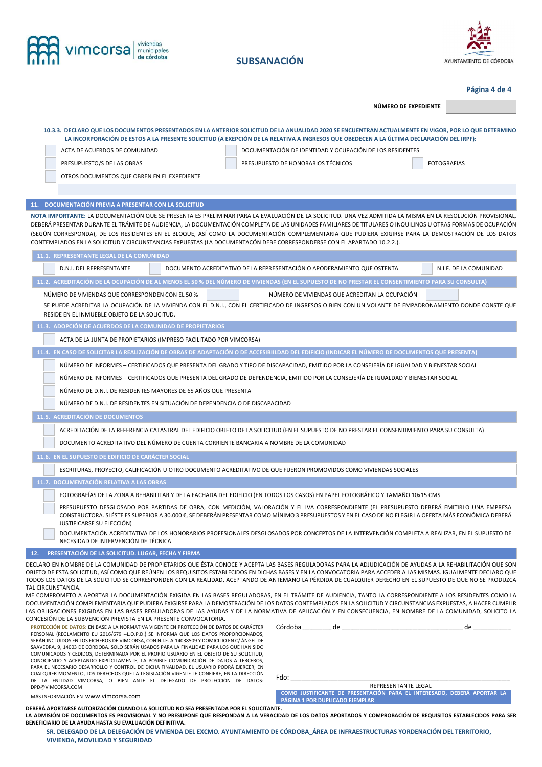

# **SUBSANACIÓN**



**Página 4 de 4**

**NÚMERO DE EXPEDIENTE** 

|                                                                    |                                                                                                                                                                                                                                                                                                                                                                                                                                                                                                                                                                                                               | NUMERO DE EXPEDIENTE |                        |
|--------------------------------------------------------------------|---------------------------------------------------------------------------------------------------------------------------------------------------------------------------------------------------------------------------------------------------------------------------------------------------------------------------------------------------------------------------------------------------------------------------------------------------------------------------------------------------------------------------------------------------------------------------------------------------------------|----------------------|------------------------|
|                                                                    |                                                                                                                                                                                                                                                                                                                                                                                                                                                                                                                                                                                                               |                      |                        |
|                                                                    | 10.3.3. DECLARO QUE LOS DOCUMENTOS PRESENTADOS EN LA ANTERIOR SOLICITUD DE LA ANUALIDAD 2020 SE ENCUENTRAN ACTUALMENTE EN VIGOR, POR LO QUE DETERMINO<br>LA INCORPORACIÓN DE ESTOS A LA PRESENTE SOLICITUD (A EXEPCIÓN DE LA RELATIVA A INGRESOS QUE OBEDECEN A LA ÚLTIMA DECLARACIÓN DEL IRPF):                                                                                                                                                                                                                                                                                                              |                      |                        |
| ACTA DE ACUERDOS DE COMUNIDAD                                      | DOCUMENTACIÓN DE IDENTIDAD Y OCUPACIÓN DE LOS RESIDENTES                                                                                                                                                                                                                                                                                                                                                                                                                                                                                                                                                      |                      |                        |
| PRESUPUESTO/S DE LAS OBRAS                                         | PRESUPUESTO DE HONORARIOS TÉCNICOS                                                                                                                                                                                                                                                                                                                                                                                                                                                                                                                                                                            |                      | <b>FOTOGRAFIAS</b>     |
| OTROS DOCUMENTOS QUE OBREN EN EL EXPEDIENTE                        |                                                                                                                                                                                                                                                                                                                                                                                                                                                                                                                                                                                                               |                      |                        |
|                                                                    |                                                                                                                                                                                                                                                                                                                                                                                                                                                                                                                                                                                                               |                      |                        |
| 11. DOCUMENTACIÓN PREVIA A PRESENTAR CON LA SOLICITUD              |                                                                                                                                                                                                                                                                                                                                                                                                                                                                                                                                                                                                               |                      |                        |
|                                                                    | NOTA IMPORTANTE: LA DOCUMENTACIÓN QUE SE PRESENTA ES PRELIMINAR PARA LA EVALUACIÓN DE LA SOLICITUD. UNA VEZ ADMITIDA LA MISMA EN LA RESOLUCIÓN PROVISIONAL,<br>DEBERÁ PRESENTAR DURANTE EL TRÁMITE DE AUDIENCIA, LA DOCUMENTACIÓN COMPLETA DE LAS UNIDADES FAMILIARES DE TITULARES O INQUILINOS U OTRAS FORMAS DE OCUPACIÓN<br>(SEGÚN CORRESPONDA), DE LOS RESIDENTES EN EL BLOQUE, ASÍ COMO LA DOCUMENTACIÓN COMPLEMENTARIA QUE PUDIERA EXIGIRSE PARA LA DEMOSTRACIÓN DE LOS DATOS<br>CONTEMPLADOS EN LA SOLICITUD Y CIRCUNSTANCIAS EXPUESTAS (LA DOCUMENTACÓN DEBE CORRESPONDERSE CON EL APARTADO 10.2.2.). |                      |                        |
| 11.1. REPRESENTANTE LEGAL DE LA COMUNIDAD                          |                                                                                                                                                                                                                                                                                                                                                                                                                                                                                                                                                                                                               |                      |                        |
| <b>D.N.I. DEL REPRESENTANTE</b>                                    | DOCUMENTO ACREDITATIVO DE LA REPRESENTACIÓN O APODERAMIENTO QUE OSTENTA                                                                                                                                                                                                                                                                                                                                                                                                                                                                                                                                       |                      | N.I.F. DE LA COMUNIDAD |
|                                                                    | 11.2. ACREDITACIÓN DE LA OCUPACIÓN DE AL MENOS EL 50 % DEL NÚMERO DE VIVIENDAS (EN EL SUPUESTO DE NO PRESTAR EL CONSENTIMIENTO PARA SU CONSULTA)                                                                                                                                                                                                                                                                                                                                                                                                                                                              |                      |                        |
| NÚMERO DE VIVIENDAS QUE CORRESPONDEN CON EL 50 %                   | NÚMERO DE VIVIENDAS QUE ACREDITAN LA OCUPACIÓN                                                                                                                                                                                                                                                                                                                                                                                                                                                                                                                                                                |                      |                        |
| RESIDE EN EL INMUEBLE OBJETO DE LA SOLICITUD.                      | SE PUEDE ACREDITAR LA OCUPACIÓN DE LA VIVIENDA CON EL D.N.I., CON EL CERTIFICADO DE INGRESOS O BIEN CON UN VOLANTE DE EMPADRONAMIENTO DONDE CONSTE QUE                                                                                                                                                                                                                                                                                                                                                                                                                                                        |                      |                        |
| 11.3. ADOPCIÓN DE ACUERDOS DE LA COMUNIDAD DE PROPIETARIOS         |                                                                                                                                                                                                                                                                                                                                                                                                                                                                                                                                                                                                               |                      |                        |
| ACTA DE LA JUNTA DE PROPIETARIOS (IMPRESO FACILITADO POR VIMCORSA) |                                                                                                                                                                                                                                                                                                                                                                                                                                                                                                                                                                                                               |                      |                        |
|                                                                    | 11.4. EN CASO DE SOLICITAR LA REALIZACIÓN DE OBRAS DE ADAPTACIÓN O DE ACCESIBIILDAD DEL EDIFICIO (INDICAR EL NÚMERO DE DOCUMENTOS QUE PRESENTA)                                                                                                                                                                                                                                                                                                                                                                                                                                                               |                      |                        |
|                                                                    | NÚMERO DE INFORMES - CERTIFICADOS QUE PRESENTA DEL GRADO Y TIPO DE DISCAPACIDAD, EMITIDO POR LA CONSEJERÍA DE IGUALDAD Y BIENESTAR SOCIAL                                                                                                                                                                                                                                                                                                                                                                                                                                                                     |                      |                        |
|                                                                    |                                                                                                                                                                                                                                                                                                                                                                                                                                                                                                                                                                                                               |                      |                        |

NÚMERO DE D.N.I. DE RESIDENTES MAYORES DE 65 AÑOS QUE PRESENTA

NÚMERO DE D.N.I. DE RESIDENTES EN SITUACIÓN DE DEPENDENCIA O DE DISCAPACIDAD

### **11.5. ACREDITACIÓN DE DOCUMENTOS**

ACREDITACIÓN DE LA REFERENCIA CATASTRAL DEL EDIFICIO OBJETO DE LA SOLICITUD (EN EL SUPUESTO DE NO PRESTAR EL CONSENTIMIENTO PARA SU CONSULTA)

DOCUMENTO ACREDITATIVO DEL NÚMERO DE CUENTA CORRIENTE BANCARIA A NOMBRE DE LA COMUNIDAD

**11.6. EN EL SUPUESTO DE EDIFICIO DE CARÁCTER SOCIAL** 

ESCRITURAS, PROYECTO, CALIFICACIÓN U OTRO DOCUMENTO ACREDITATIVO DE QUE FUERON PROMOVIDOS COMO VIVIENDAS SOCIALES

FOTOGRAFÍAS DE LA ZONA A REHABILITAR Y DE LA FACHADA DEL EDIFICIO (EN TODOS LOS CASOS) EN PAPEL FOTOGRÁFICO Y TAMAÑO 10x15 CMS

PRESUPUESTO DESGLOSADO POR PARTIDAS DE OBRA, CON MEDICIÓN, VALORACIÓN Y EL IVA CORRESPONDIENTE (EL PRESUPUESTO DEBERÁ EMITIRLO UNA EMPRESA CONSTRUCTORA. SI ÉSTE ES SUPERIOR A 30.000 €, SE DEBERÁN PRESENTAR COMO MÍNIMO 3 PRESUPUESTOS Y EN EL CASO DE NO ELEGIR LA OFERTA MÁS ECONÓMICA DEBERÁ JUSTIFICARSE SU ELECCIÓN)

DOCUMENTACIÓN ACREDITATIVA DE LOS HONORARIOS PROFESIONALES DESGLOSADOS POR CONCEPTOS DE LA INTERVENCIÓN COMPLETA A REALIZAR, EN EL SUPUESTO DE NECESIDAD DE INTERVENCIÓN DE TÉCNICA

### **12. PRESENTACIÓN DE LA SOLICITUD. LUGAR, FECHA Y FIRMA**

DECLARO EN NOMBRE DE LA COMUNIDAD DE PROPIETARIOS QUE ÉSTA CONOCE Y ACEPTA LAS BASES REGULADORAS PARA LA ADJUDICACIÓN DE AYUDAS A LA REHABILITACIÓN QUE SON OBJETO DE ESTA SOLICITUD, ASÍ COMO QUE REÚNEN LOS REQUISITOS ESTABLECIDOS EN DICHAS BASES Y EN LA CONVOCATORIA PARA ACCEDER A LAS MISMAS. IGUALMENTE DECLARO QUE TODOS LOS DATOS DE LA SOLICITUD SE CORRESPONDEN CON LA REALIDAD, ACEPTANDO DE ANTEMANO LA PÉRDIDA DE CUALQUIER DERECHO EN EL SUPUESTO DE QUE NO SE PRODUZCA TAL CIRCUNSTANCIA.

ME COMPROMETO A APORTAR LA DOCUMENTACIÓN EXIGIDA EN LAS BASES REGULADORAS, EN EL TRÁMITE DE AUDIENCIA, TANTO LA CORRESPONDIENTE A LOS RESIDENTES COMO LA DOCUMENTACIÓN COMPLEMENTARIA QUE PUDIERA EXIGIRSE PARA LA DEMOSTRACIÓN DE LOS DATOS CONTEMPLADOS EN LA SOLICITUD Y CIRCUNSTANCIAS EXPUESTAS, A HACER CUMPLIR LAS OBLIGACIONES EXIGIDAS EN LAS BASES REGULADORAS DE LAS AYUDAS Y DE LA NORMATIVA DE APLICACIÓN Y EN CONSECUENCIA, EN NOMBRE DE LA COMUNIDAD, SOLICITO LA CONCESIÓN DE LA SUBVENCIÓN PREVISTA EN LA PRESENTE CONVOCATORIA.

**PROTECCIÓN DE DATOS:** EN BASE A LA NORMATIVA VIGENTE EN PROTECCIÓN DE DATOS DE CARÁCTER PERSONAL (REGLAMENTO EU 2016/679 --L.O.P.D.) SE INFORMA QUE LOS DATOS PROPORCIONADOS, SERÁN INCLUIDOS EN LOS FICHEROS DE VIMCORSA, CON N.I.F. A-14038509 Y DOMICILIO EN C/ ÁNGEL DE SAAVEDRA, 9, 14003 DE CÓRDOBA. SOLO SERÁN USADOS PARA LA FINALIDAD PARA LOS QUE HAN SIDO COMUNICADOS Y CEDIDOS, DETERMINADA POR EL PROPIO USUARIO EN EL OBJETO DE SU SOLICITUD, CONOCIENDO Y ACEPTANDO EXPLÍCITAMENTE, LA POSIBLE COMUNICACIÓN DE DATOS A TERCEROS, PARA EL NECESARIO DESARROLLO Y CONTROL DE DICHA FINALIDAD. EL USUARIO PODRÁ EJERCER, EN CUALQUIER MOMENTO, LOS DERECHOS QUE LA LEGISLACIÓN VIGENTE LE CONFIERE, EN LA DIRECCIÓN DE LA ENTIDAD VIMCORSA, O BIEN ANTE EL DELEGADO DE PROTECCIÓN DE DATOS: DPD@VIMCORSA.COM

Fdo: \_\_\_\_\_\_\_\_\_\_\_\_\_\_\_\_\_\_\_\_\_\_\_\_\_\_\_\_\_\_\_\_\_\_\_\_\_\_\_\_\_\_\_\_\_\_\_\_\_\_\_\_\_\_\_\_\_\_\_\_\_\_\_\_\_\_\_\_\_\_\_\_\_\_\_\_\_\_\_\_\_\_\_\_\_\_\_\_\_\_\_\_\_\_\_\_\_\_\_\_\_\_\_\_\_\_\_\_\_\_\_\_\_\_\_\_\_\_\_\_\_

REPRESENTANTE LEGAL

**COMO JUSTIFICANTE DE PRESENTACIÓN PARA EL INTERESADO, DEBERÁ APORTAR LA PÁGINA 1 POR DUPLICADO EJEMPLAR**

MÁS INFORMACIÓN EN www.vimcorsa.com

**DEBERÁ APORTARSE AUTORIZACIÓN CUANDO LA SOLICITUD NO SEA PRESENTADA POR EL SOLICITANTE. LA ADMISIÓN DE DOCUMENTOS ES PROVISIONAL Y NO PRESUPONE QUE RESPONDAN A LA VERACIDAD DE LOS DATOS APORTADOS Y COMPROBACIÓN DE REQUISITOS ESTABLECIDOS PARA SER BENEFICIARIO DE LA AYUDA HASTA SU EVALUACIÓN DEFINITIVA.** 

**SR. DELEGADO DE LA DELEGACIÓN DE VIVIENDA DEL EXCMO. AYUNTAMIENTO DE CÓRDOBA\_ÁREA DE INFRAESTRUCTURAS YORDENACIÓN DEL TERRITORIO, VIVIENDA, MOVILIDAD Y SEGURIDAD**